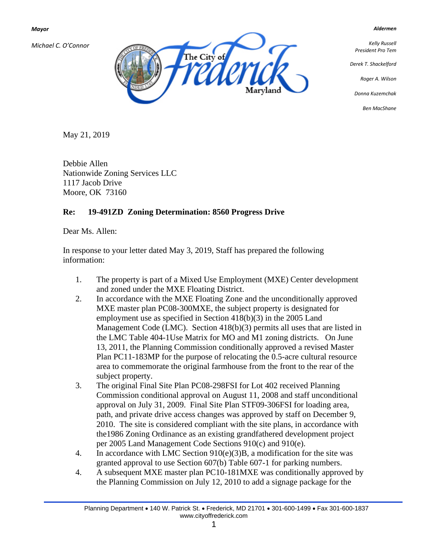*Mayor*

*Michael C. O'Connor*



*Kelly Russell President Pro Tem*

*Aldermen*

*Derek T. Shackelford*

*Roger A. Wilson*

*Donna Kuzemchak*

*Ben MacShane*

May 21, 2019

Debbie Allen Nationwide Zoning Services LLC 1117 Jacob Drive Moore, OK 73160

## **Re: 19-491ZD Zoning Determination: 8560 Progress Drive**

Dear Ms. Allen:

In response to your letter dated May 3, 2019, Staff has prepared the following information:

- 1. The property is part of a Mixed Use Employment (MXE) Center development and zoned under the MXE Floating District.
- 2. In accordance with the MXE Floating Zone and the unconditionally approved MXE master plan PC08-300MXE, the subject property is designated for employment use as specified in Section 418(b)(3) in the 2005 Land Management Code (LMC). Section 418(b)(3) permits all uses that are listed in the LMC Table 404-1Use Matrix for MO and M1 zoning districts. On June 13, 2011, the Planning Commission conditionally approved a revised Master Plan PC11-183MP for the purpose of relocating the 0.5-acre cultural resource area to commemorate the original farmhouse from the front to the rear of the subject property.
- 3. The original Final Site Plan PC08-298FSI for Lot 402 received Planning Commission conditional approval on August 11, 2008 and staff unconditional approval on July 31, 2009. Final Site Plan STF09-306FSI for loading area, path, and private drive access changes was approved by staff on December 9, 2010. The site is considered compliant with the site plans, in accordance with the1986 Zoning Ordinance as an existing grandfathered development project per 2005 Land Management Code Sections 910(c) and 910(e).
- 4. In accordance with LMC Section 910(e)(3)B, a modification for the site was granted approval to use Section 607(b) Table 607-1 for parking numbers.
- 4. A subsequent MXE master plan PC10-181MXE was conditionally approved by the Planning Commission on July 12, 2010 to add a signage package for the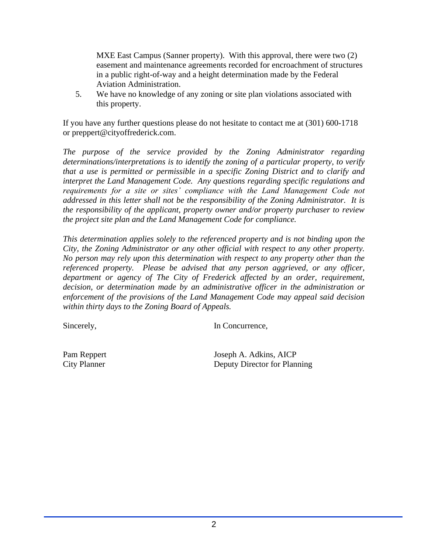MXE East Campus (Sanner property). With this approval, there were two  $(2)$ easement and maintenance agreements recorded for encroachment of structures in a public right-of-way and a height determination made by the Federal Aviation Administration.

5. We have no knowledge of any zoning or site plan violations associated with this property.

If you have any further questions please do not hesitate to contact me at (301) 600-1718 or preppert@cityoffrederick.com.

*The purpose of the service provided by the Zoning Administrator regarding determinations/interpretations is to identify the zoning of a particular property, to verify that a use is permitted or permissible in a specific Zoning District and to clarify and interpret the Land Management Code. Any questions regarding specific regulations and requirements for a site or sites' compliance with the Land Management Code not addressed in this letter shall not be the responsibility of the Zoning Administrator. It is the responsibility of the applicant, property owner and/or property purchaser to review the project site plan and the Land Management Code for compliance.* 

*This determination applies solely to the referenced property and is not binding upon the City, the Zoning Administrator or any other official with respect to any other property. No person may rely upon this determination with respect to any property other than the referenced property. Please be advised that any person aggrieved, or any officer, department or agency of The City of Frederick affected by an order, requirement, decision, or determination made by an administrative officer in the administration or enforcement of the provisions of the Land Management Code may appeal said decision within thirty days to the Zoning Board of Appeals.*

Sincerely, In Concurrence,

Pam Reppert Joseph A. Adkins, AICP City Planner Deputy Director for Planning